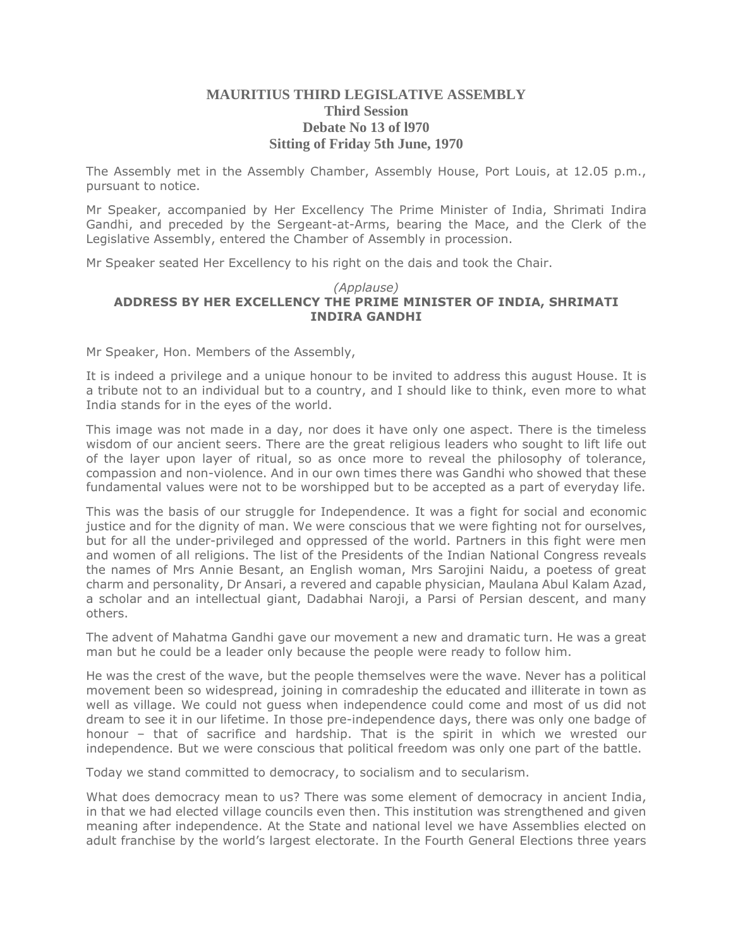## **MAURITIUS THIRD LEGISLATIVE ASSEMBLY Third Session Debate No 13 of l970 Sitting of Friday 5th June, 1970**

The Assembly met in the Assembly Chamber, Assembly House, Port Louis, at 12.05 p.m., pursuant to notice.

Mr Speaker, accompanied by Her Excellency The Prime Minister of India, Shrimati Indira Gandhi, and preceded by the Sergeant-at-Arms, bearing the Mace, and the Clerk of the Legislative Assembly, entered the Chamber of Assembly in procession.

Mr Speaker seated Her Excellency to his right on the dais and took the Chair.

#### *(Applause)* **ADDRESS BY HER EXCELLENCY THE PRIME MINISTER OF INDIA, SHRIMATI INDIRA GANDHI**

Mr Speaker, Hon. Members of the Assembly,

It is indeed a privilege and a unique honour to be invited to address this august House. It is a tribute not to an individual but to a country, and I should like to think, even more to what India stands for in the eyes of the world.

This image was not made in a day, nor does it have only one aspect. There is the timeless wisdom of our ancient seers. There are the great religious leaders who sought to lift life out of the layer upon layer of ritual, so as once more to reveal the philosophy of tolerance, compassion and non-violence. And in our own times there was Gandhi who showed that these fundamental values were not to be worshipped but to be accepted as a part of everyday life.

This was the basis of our struggle for Independence. It was a fight for social and economic justice and for the dignity of man. We were conscious that we were fighting not for ourselves, but for all the under-privileged and oppressed of the world. Partners in this fight were men and women of all religions. The list of the Presidents of the Indian National Congress reveals the names of Mrs Annie Besant, an English woman, Mrs Sarojini Naidu, a poetess of great charm and personality, Dr Ansari, a revered and capable physician, Maulana Abul Kalam Azad, a scholar and an intellectual giant, Dadabhai Naroji, a Parsi of Persian descent, and many others.

The advent of Mahatma Gandhi gave our movement a new and dramatic turn. He was a great man but he could be a leader only because the people were ready to follow him.

He was the crest of the wave, but the people themselves were the wave. Never has a political movement been so widespread, joining in comradeship the educated and illiterate in town as well as village. We could not guess when independence could come and most of us did not dream to see it in our lifetime. In those pre-independence days, there was only one badge of honour – that of sacrifice and hardship. That is the spirit in which we wrested our independence. But we were conscious that political freedom was only one part of the battle.

Today we stand committed to democracy, to socialism and to secularism.

What does democracy mean to us? There was some element of democracy in ancient India, in that we had elected village councils even then. This institution was strengthened and given meaning after independence. At the State and national level we have Assemblies elected on adult franchise by the world's largest electorate. In the Fourth General Elections three years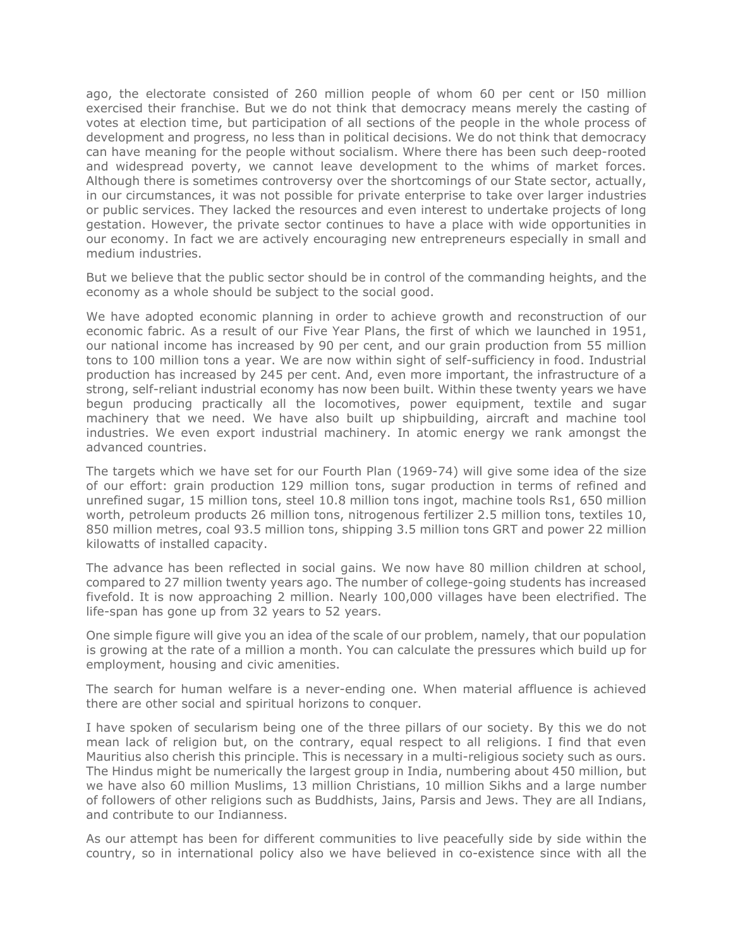ago, the electorate consisted of 260 million people of whom 60 per cent or l50 million exercised their franchise. But we do not think that democracy means merely the casting of votes at election time, but participation of all sections of the people in the whole process of development and progress, no less than in political decisions. We do not think that democracy can have meaning for the people without socialism. Where there has been such deep-rooted and widespread poverty, we cannot leave development to the whims of market forces. Although there is sometimes controversy over the shortcomings of our State sector, actually, in our circumstances, it was not possible for private enterprise to take over larger industries or public services. They lacked the resources and even interest to undertake projects of long gestation. However, the private sector continues to have a place with wide opportunities in our economy. In fact we are actively encouraging new entrepreneurs especially in small and medium industries.

But we believe that the public sector should be in control of the commanding heights, and the economy as a whole should be subject to the social good.

We have adopted economic planning in order to achieve growth and reconstruction of our economic fabric. As a result of our Five Year Plans, the first of which we launched in 1951, our national income has increased by 90 per cent, and our grain production from 55 million tons to 100 million tons a year. We are now within sight of self-sufficiency in food. Industrial production has increased by 245 per cent. And, even more important, the infrastructure of a strong, self-reliant industrial economy has now been built. Within these twenty years we have begun producing practically all the locomotives, power equipment, textile and sugar machinery that we need. We have also built up shipbuilding, aircraft and machine tool industries. We even export industrial machinery. In atomic energy we rank amongst the advanced countries.

The targets which we have set for our Fourth Plan (1969-74) will give some idea of the size of our effort: grain production 129 million tons, sugar production in terms of refined and unrefined sugar, 15 million tons, steel 10.8 million tons ingot, machine tools Rs1, 650 million worth, petroleum products 26 million tons, nitrogenous fertilizer 2.5 million tons, textiles 10, 850 million metres, coal 93.5 million tons, shipping 3.5 million tons GRT and power 22 million kilowatts of installed capacity.

The advance has been reflected in social gains. We now have 80 million children at school, compared to 27 million twenty years ago. The number of college-going students has increased fivefold. It is now approaching 2 million. Nearly 100,000 villages have been electrified. The life-span has gone up from 32 years to 52 years.

One simple figure will give you an idea of the scale of our problem, namely, that our population is growing at the rate of a million a month. You can calculate the pressures which build up for employment, housing and civic amenities.

The search for human welfare is a never-ending one. When material affluence is achieved there are other social and spiritual horizons to conquer.

I have spoken of secularism being one of the three pillars of our society. By this we do not mean lack of religion but, on the contrary, equal respect to all religions. I find that even Mauritius also cherish this principle. This is necessary in a multi-religious society such as ours. The Hindus might be numerically the largest group in India, numbering about 450 million, but we have also 60 million Muslims, 13 million Christians, 10 million Sikhs and a large number of followers of other religions such as Buddhists, Jains, Parsis and Jews. They are all Indians, and contribute to our Indianness.

As our attempt has been for different communities to live peacefully side by side within the country, so in international policy also we have believed in co-existence since with all the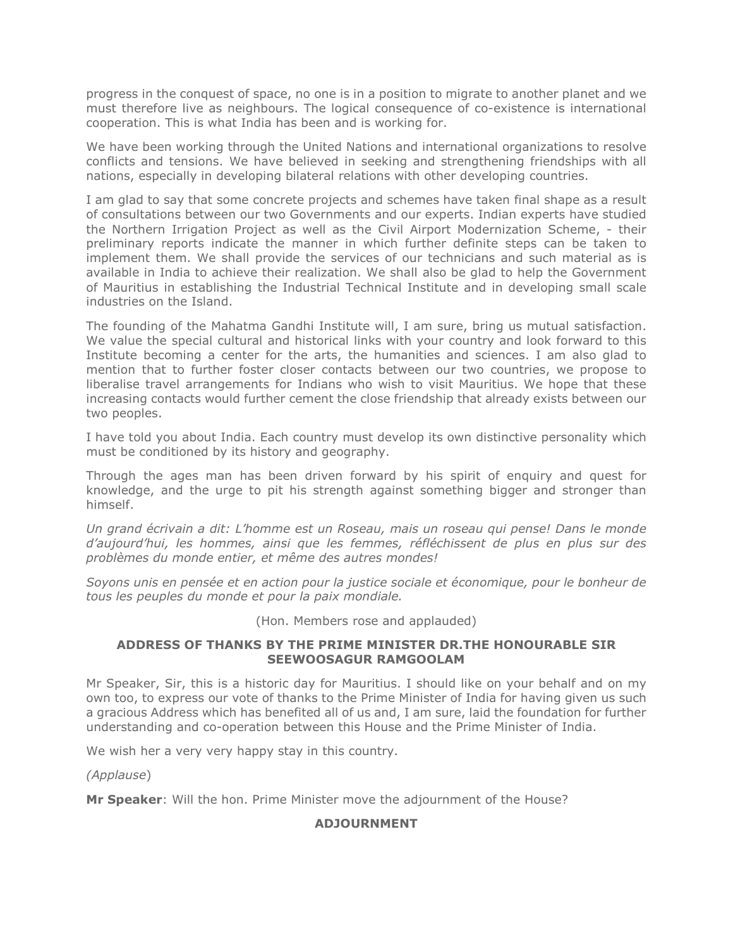progress in the conquest of space, no one is in a position to migrate to another planet and we must therefore live as neighbours. The logical consequence of co-existence is international cooperation. This is what India has been and is working for.

We have been working through the United Nations and international organizations to resolve conflicts and tensions. We have believed in seeking and strengthening friendships with all nations, especially in developing bilateral relations with other developing countries.

I am glad to say that some concrete projects and schemes have taken final shape as a result of consultations between our two Governments and our experts. Indian experts have studied the Northern Irrigation Project as well as the Civil Airport Modernization Scheme, - their preliminary reports indicate the manner in which further definite steps can be taken to implement them. We shall provide the services of our technicians and such material as is available in India to achieve their realization. We shall also be glad to help the Government of Mauritius in establishing the Industrial Technical Institute and in developing small scale industries on the Island.

The founding of the Mahatma Gandhi Institute will, I am sure, bring us mutual satisfaction. We value the special cultural and historical links with your country and look forward to this Institute becoming a center for the arts, the humanities and sciences. I am also glad to mention that to further foster closer contacts between our two countries, we propose to liberalise travel arrangements for Indians who wish to visit Mauritius. We hope that these increasing contacts would further cement the close friendship that already exists between our two peoples.

I have told you about India. Each country must develop its own distinctive personality which must be conditioned by its history and geography.

Through the ages man has been driven forward by his spirit of enquiry and quest for knowledge, and the urge to pit his strength against something bigger and stronger than himself.

*Un grand écrivain a dit: L'homme est un Roseau, mais un roseau qui pense! Dans le monde d'aujourd'hui, les hommes, ainsi que les femmes, réfléchissent de plus en plus sur des problèmes du monde entier, et même des autres mondes!*

*Soyons unis en pensée et en action pour la justice sociale et économique, pour le bonheur de tous les peuples du monde et pour la paix mondiale.*

(Hon. Members rose and applauded)

### **ADDRESS OF THANKS BY THE PRIME MINISTER DR.THE HONOURABLE SIR SEEWOOSAGUR RAMGOOLAM**

Mr Speaker, Sir, this is a historic day for Mauritius. I should like on your behalf and on my own too, to express our vote of thanks to the Prime Minister of India for having given us such a gracious Address which has benefited all of us and, I am sure, laid the foundation for further understanding and co-operation between this House and the Prime Minister of India.

We wish her a very very happy stay in this country.

*(Applause*)

**Mr Speaker**: Will the hon. Prime Minister move the adjournment of the House?

## **ADJOURNMENT**